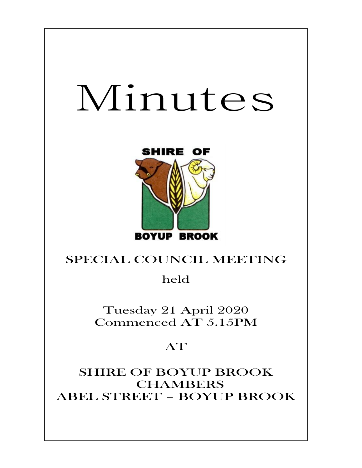# Minutes



## SPECIAL COUNCIL MEETING

held

Tuesday 21 April 2020 Commenced AT 5.15PM

## AT

SHIRE OF BOYUP BROOK CHAMBERS ABEL STREET – BOYUP BROOK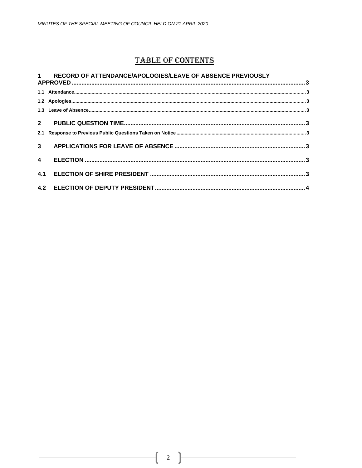### **TABLE OF CONTENTS**

#### $\mathbf 1$ RECORD OF ATTENDANCE/APOLOGIES/LEAVE OF ABSENCE PREVIOUSLY

| 3 <sup>1</sup> |  |  |
|----------------|--|--|
| $\overline{4}$ |  |  |
| 4.1            |  |  |
|                |  |  |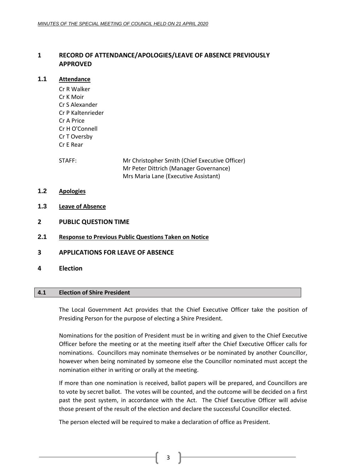#### <span id="page-2-0"></span>**1 RECORD OF ATTENDANCE/APOLOGIES/LEAVE OF ABSENCE PREVIOUSLY APPROVED**

#### <span id="page-2-1"></span>**1.1 Attendance**

Cr R Walker Cr K Moir Cr S Alexander Cr P Kaltenrieder Cr A Price Cr H O'Connell Cr T Oversby Cr E Rear

STAFF: Mr Christopher Smith (Chief Executive Officer) Mr Peter Dittrich (Manager Governance) Mrs Maria Lane (Executive Assistant)

- <span id="page-2-2"></span>**1.2 Apologies**
- <span id="page-2-3"></span>**1.3 Leave of Absence**
- <span id="page-2-4"></span>**2 PUBLIC QUESTION TIME**
- <span id="page-2-5"></span>**2.1 Response to Previous Public Questions Taken on Notice**
- <span id="page-2-6"></span>**3 APPLICATIONS FOR LEAVE OF ABSENCE**
- <span id="page-2-7"></span>**4 Election**

#### <span id="page-2-8"></span>**4.1 Election of Shire President**

The Local Government Act provides that the Chief Executive Officer take the position of Presiding Person for the purpose of electing a Shire President.

Nominations for the position of President must be in writing and given to the Chief Executive Officer before the meeting or at the meeting itself after the Chief Executive Officer calls for nominations. Councillors may nominate themselves or be nominated by another Councillor, however when being nominated by someone else the Councillor nominated must accept the nomination either in writing or orally at the meeting.

If more than one nomination is received, ballot papers will be prepared, and Councillors are to vote by secret ballot. The votes will be counted, and the outcome will be decided on a first past the post system, in accordance with the Act. The Chief Executive Officer will advise those present of the result of the election and declare the successful Councillor elected.

The person elected will be required to make a declaration of office as President.